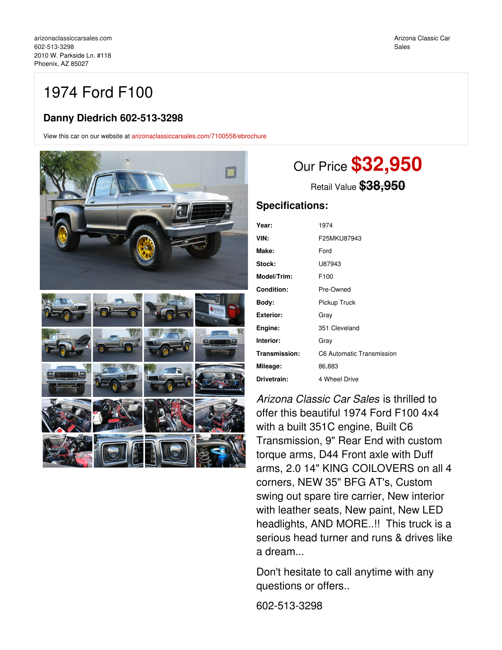# 1974 Ford F100

## **Danny Diedrich 602-513-3298**

View this car on our website at [arizonaclassiccarsales.com/7100558/ebrochure](https://arizonaclassiccarsales.com/vehicle/7100558/1974-ford-f100-phoenix-az-85027/7100558/ebrochure)



# Our Price **\$32,950**

Retail Value **\$38,950**

### **Specifications:**

| Year:            | 1974                      |
|------------------|---------------------------|
| VIN:             | F25MKU87943               |
| Make:            | Ford                      |
| Stock:           | U87943                    |
| Model/Trim:      | F100                      |
| Condition:       | Pre-Owned                 |
| Body:            | Pickup Truck              |
| <b>Exterior:</b> | Grav                      |
| Engine:          | 351 Cleveland             |
| Interior:        | Gray                      |
| Transmission:    | C6 Automatic Transmission |
| Mileage:         | 86,883                    |
| Drivetrain:      | 4 Wheel Drive             |
|                  |                           |

*Arizona Classic Car Sales* is thrilled to offer this beautiful 1974 Ford F100 4x4 with a built 351C engine, Built C6 Transmission, 9" Rear End with custom torque arms, D44 Front axle with Duff arms, 2.0 14" KING COILOVERS on all 4 corners, NEW 35" BFG AT's, Custom swing out spare tire carrier, New interior with leather seats, New paint, New LED headlights, AND MORE..!! This truck is a serious head turner and runs & drives like a dream...

Don't hesitate to call anytime with any questions or offers..

602-513-3298